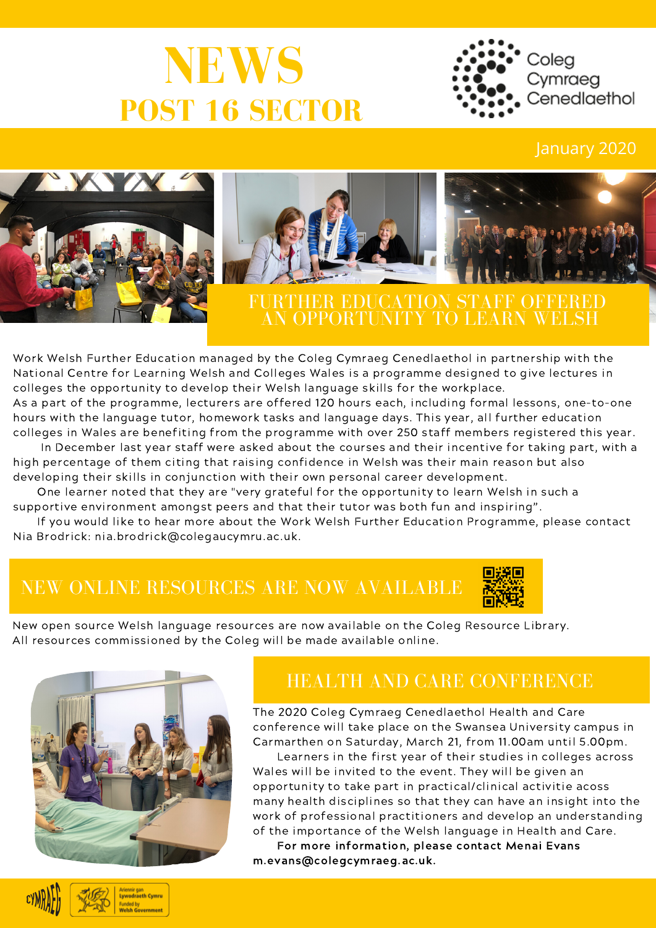# **NEWS POST 16 SECTOR**



### January 2020





### FURTHER EDUCATION STAFF OFFERED AN OPPORTUNITY TO LEARN WELSH

Work Welsh Further Education managed by the Coleg Cymraeg Cenedlaethol in partnership with the National Centre for Learning Welsh and Colleges Wales is a programme designed to give lectures in colleges the opportunity to develop their Welsh language skills for the workplace. As a part of the programme, lecturers are offered 120 hours each, including formal lessons, one-to-one hours with the language tutor, homework tasks and language days. This year, all further education

colleges in Wales are benefiting from the programme with over 250 staff members registered this year. In December last year staff were asked about the courses and their incentive for taking part, with a high percentage of them citing that raising confidence in Welsh was their main reason but also

developing their skills in conjunction with their own personal career development.

One learner noted that they are "very grateful for the opportunity to learn Welsh in such a supportive environment amongst peers and that their tutor was both fun and inspiring".

If you would like to hear more about the Work Welsh Further Education Programme, please contact Nia Brodrick: nia.brodrick@colegaucymru.ac.uk.

## NEW ONLINE RESOURCES ARE NOW AVAILABLE



New open source Welsh language resources are now available on the Coleg Resource Library. All resources commissioned by the Coleg will be made available online.



### HEALTH AND CARE CONFERENCE

The 2020 Coleg Cymraeg Cenedlaethol Health and Care conference will take place on the Swansea University campus in Carmarthen on Saturday, March 21, from 11.00am until 5.00pm.

Learners in the first year of their studies in colleges across Wales will be invited to the event. They will be given an opportunity to take part in practical/clinical activitie acoss many health disciplines so that they can have an insight into the work of professional practitioners and develop an understanding of the importance of the Welsh language in Health and Care.

For more information, please contact Menai Evans m.evans@colegcymraeg.ac.uk.